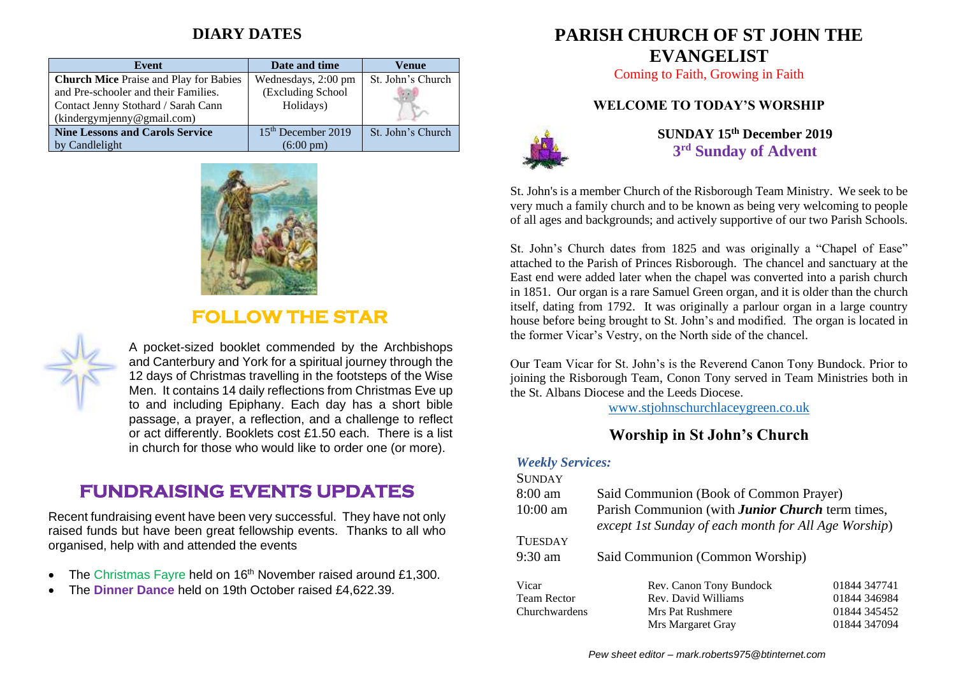## **DIARY DATES**

| Event                                         | Date and time        | Venue             |
|-----------------------------------------------|----------------------|-------------------|
| <b>Church Mice Praise and Play for Babies</b> | Wednesdays, 2:00 pm  | St. John's Church |
| and Pre-schooler and their Families.          | (Excluding School    |                   |
| Contact Jenny Stothard / Sarah Cann           | Holidays)            |                   |
| (kindergymjenny@gmail.com)                    |                      |                   |
| <b>Nine Lessons and Carols Service</b>        | $15th$ December 2019 | St. John's Church |
| by Candlelight                                | $(6:00 \text{ pm})$  |                   |



## **FOLLOW THE STAR**



A pocket-sized booklet commended by the Archbishops and Canterbury and York for a spiritual journey through the 12 days of Christmas travelling in the footsteps of the Wise Men. It contains 14 daily reflections from Christmas Eve up to and including Epiphany. Each day has a short bible passage, a prayer, a reflection, and a challenge to reflect or act differently. Booklets cost £1.50 each. There is a list in church for those who would like to order one (or more).

# **FUNDRAISING EVENTS UPDATES**

Recent fundraising event have been very successful. They have not only raised funds but have been great fellowship events. Thanks to all who organised, help with and attended the events

- The Christmas Fayre held on 16<sup>th</sup> November raised around £1,300.
- The **Dinner Dance** held on 19th October raised £4,622.39.

# **PARISH CHURCH OF ST JOHN THE EVANGELIST**

Coming to Faith, Growing in Faith

#### **WELCOME TO TODAY'S WORSHIP**



**SUNDAY 15th December 2019 3 rd Sunday of Advent**

St. John's is a member Church of the Risborough Team Ministry. We seek to be very much a family church and to be known as being very welcoming to people of all ages and backgrounds; and actively supportive of our two Parish Schools.

St. John's Church dates from 1825 and was originally a "Chapel of Ease" attached to the Parish of Princes Risborough. The chancel and sanctuary at the East end were added later when the chapel was converted into a parish church in 1851. Our organ is a rare Samuel Green organ, and it is older than the church itself, dating from 1792. It was originally a parlour organ in a large country house before being brought to St. John's and modified. The organ is located in the former Vicar's Vestry, on the North side of the chancel.

Our Team Vicar for St. John's is the Reverend Canon Tony Bundock. Prior to joining the Risborough Team, Conon Tony served in Team Ministries both in the St. Albans Diocese and the Leeds Diocese.

[www.stjohnschurchlaceygreen.co.uk](http://www.stjohnschurchlaceygreen.co.uk/)

#### **Worship in St John's Church**

#### *Weekly Services:*

| <b>SUNDAY</b>      |                                                                                                                 |              |  |
|--------------------|-----------------------------------------------------------------------------------------------------------------|--------------|--|
| $8:00$ am          | Said Communion (Book of Common Prayer)                                                                          |              |  |
| $10:00$ am         | Parish Communion (with <b>Junior Church</b> term times,<br>except 1st Sunday of each month for All Age Worship) |              |  |
| <b>TUESDAY</b>     |                                                                                                                 |              |  |
| $9:30$ am          | Said Communion (Common Worship)                                                                                 |              |  |
| Vicar              | Rev. Canon Tony Bundock                                                                                         | 01844 347741 |  |
| <b>Team Rector</b> | Rev. David Williams                                                                                             | 01844 346984 |  |
| Churchwardens      | Mrs Pat Rushmere                                                                                                | 01844 345452 |  |
|                    | Mrs Margaret Gray                                                                                               | 01844 347094 |  |